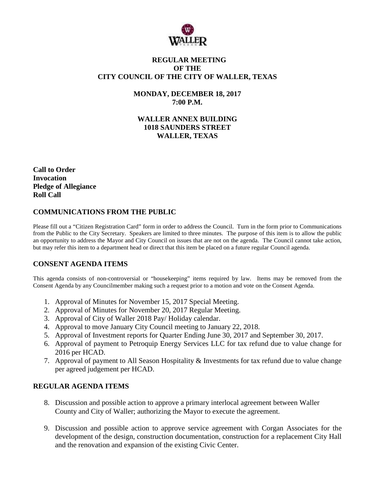

## **REGULAR MEETING OF THE CITY COUNCIL OF THE CITY OF WALLER, TEXAS**

**MONDAY, DECEMBER 18, 2017 7:00 P.M.**

**WALLER ANNEX BUILDING 1018 SAUNDERS STREET WALLER, TEXAS**

**Call to Order Invocation Pledge of Allegiance Roll Call**

## **COMMUNICATIONS FROM THE PUBLIC**

Please fill out a "Citizen Registration Card" form in order to address the Council. Turn in the form prior to Communications from the Public to the City Secretary. Speakers are limited to three minutes. The purpose of this item is to allow the public an opportunity to address the Mayor and City Council on issues that are not on the agenda. The Council cannot take action, but may refer this item to a department head or direct that this item be placed on a future regular Council agenda.

# **CONSENT AGENDA ITEMS**

This agenda consists of non-controversial or "housekeeping" items required by law. Items may be removed from the Consent Agenda by any Councilmember making such a request prior to a motion and vote on the Consent Agenda.

- 1. Approval of Minutes for November 15, 2017 Special Meeting.
- 2. Approval of Minutes for November 20, 2017 Regular Meeting.
- 3. Approval of City of Waller 2018 Pay/ Holiday calendar.
- 4. Approval to move January City Council meeting to January 22, 2018.
- 5. Approval of Investment reports for Quarter Ending June 30, 2017 and September 30, 2017.
- 6. Approval of payment to Petroquip Energy Services LLC for tax refund due to value change for 2016 per HCAD.
- 7. Approval of payment to All Season Hospitality & Investments for tax refund due to value change per agreed judgement per HCAD.

### **REGULAR AGENDA ITEMS**

- 8. Discussion and possible action to approve a primary interlocal agreement between Waller County and City of Waller; authorizing the Mayor to execute the agreement.
- 9. Discussion and possible action to approve service agreement with Corgan Associates for the development of the design, construction documentation, construction for a replacement City Hall and the renovation and expansion of the existing Civic Center.